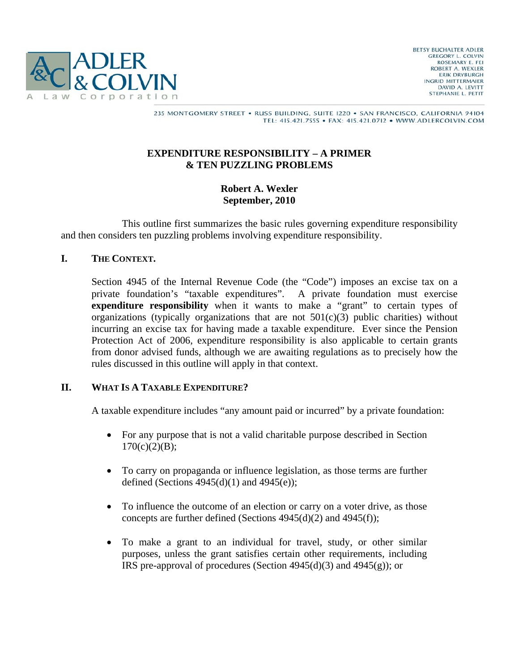

#### 235 MONTGOMERY STREET . RUSS BUILDING, SUITE 1220 . SAN FRANCISCO, CALIFORNIA 94104 TEL: 415.421.7555 · FAX: 415.421.0712 · WWW.ADLERCOLVIN.COM

#### **EXPENDITURE RESPONSIBILITY – A PRIMER & TEN PUZZLING PROBLEMS**

### **Robert A. Wexler September, 2010**

 This outline first summarizes the basic rules governing expenditure responsibility and then considers ten puzzling problems involving expenditure responsibility.

### **I. THE CONTEXT.**

Section 4945 of the Internal Revenue Code (the "Code") imposes an excise tax on a private foundation's "taxable expenditures". A private foundation must exercise **expenditure responsibility** when it wants to make a "grant" to certain types of organizations (typically organizations that are not  $501(c)(3)$  public charities) without incurring an excise tax for having made a taxable expenditure. Ever since the Pension Protection Act of 2006, expenditure responsibility is also applicable to certain grants from donor advised funds, although we are awaiting regulations as to precisely how the rules discussed in this outline will apply in that context.

#### **II. WHAT IS A TAXABLE EXPENDITURE?**

A taxable expenditure includes "any amount paid or incurred" by a private foundation:

- For any purpose that is not a valid charitable purpose described in Section  $170(c)(2)(B);$
- To carry on propaganda or influence legislation, as those terms are further defined (Sections  $4945(d)(1)$  and  $4945(e)$ );
- To influence the outcome of an election or carry on a voter drive, as those concepts are further defined (Sections 4945(d)(2) and 4945(f));
- To make a grant to an individual for travel, study, or other similar purposes, unless the grant satisfies certain other requirements, including IRS pre-approval of procedures (Section  $4945(d)(3)$  and  $4945(g)$ ); or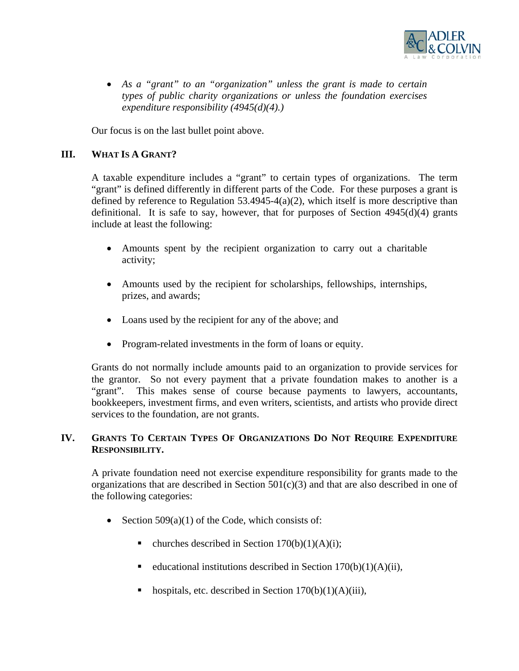

• *As a "grant" to an "organization" unless the grant is made to certain types of public charity organizations or unless the foundation exercises expenditure responsibility (4945(d)(4).)* 

Our focus is on the last bullet point above.

# **III. WHAT IS A GRANT?**

A taxable expenditure includes a "grant" to certain types of organizations. The term "grant" is defined differently in different parts of the Code. For these purposes a grant is defined by reference to Regulation 53.4945-4(a)(2), which itself is more descriptive than definitional. It is safe to say, however, that for purposes of Section  $4945(d)(4)$  grants include at least the following:

- Amounts spent by the recipient organization to carry out a charitable activity;
- Amounts used by the recipient for scholarships, fellowships, internships, prizes, and awards;
- Loans used by the recipient for any of the above; and
- Program-related investments in the form of loans or equity.

Grants do not normally include amounts paid to an organization to provide services for the grantor. So not every payment that a private foundation makes to another is a "grant". This makes sense of course because payments to lawyers, accountants, bookkeepers, investment firms, and even writers, scientists, and artists who provide direct services to the foundation, are not grants.

### **IV. GRANTS TO CERTAIN TYPES OF ORGANIZATIONS DO NOT REQUIRE EXPENDITURE RESPONSIBILITY.**

A private foundation need not exercise expenditure responsibility for grants made to the organizations that are described in Section  $501(c)(3)$  and that are also described in one of the following categories:

- Section  $509(a)(1)$  of the Code, which consists of:
	- churches described in Section  $170(b)(1)(A)(i)$ ;
	- educational institutions described in Section  $170(b)(1)(A)(ii)$ ,
	- hospitals, etc. described in Section  $170(b)(1)(A)(iii)$ ,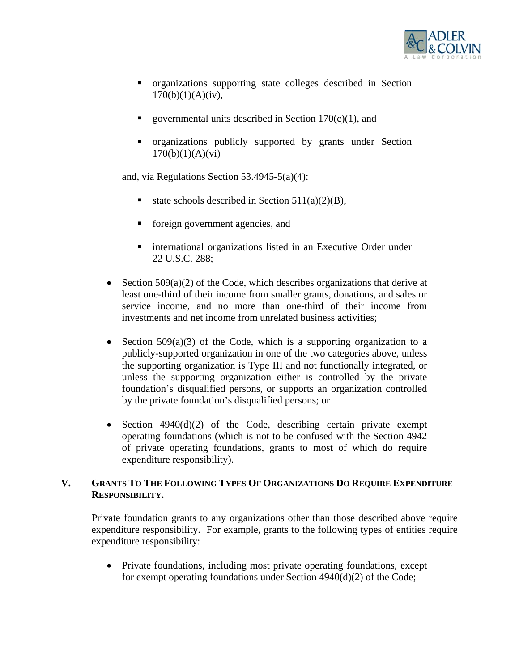

- organizations supporting state colleges described in Section  $170(b)(1)(A)(iv)$ ,
- governmental units described in Section  $170(c)(1)$ , and
- organizations publicly supported by grants under Section  $170(b)(1)(A)(vi)$

and, via Regulations Section 53.4945-5(a)(4):

- state schools described in Section  $511(a)(2)(B)$ ,
- **fi** foreign government agencies, and
- **EXECUTE:** international organizations listed in an Executive Order under 22 U.S.C. 288;
- Section  $509(a)(2)$  of the Code, which describes organizations that derive at least one-third of their income from smaller grants, donations, and sales or service income, and no more than one-third of their income from investments and net income from unrelated business activities;
- Section  $509(a)(3)$  of the Code, which is a supporting organization to a publicly-supported organization in one of the two categories above, unless the supporting organization is Type III and not functionally integrated, or unless the supporting organization either is controlled by the private foundation's disqualified persons, or supports an organization controlled by the private foundation's disqualified persons; or
- Section  $4940(d)(2)$  of the Code, describing certain private exempt operating foundations (which is not to be confused with the Section 4942 of private operating foundations, grants to most of which do require expenditure responsibility).

# **V. GRANTS TO THE FOLLOWING TYPES OF ORGANIZATIONS DO REQUIRE EXPENDITURE RESPONSIBILITY.**

Private foundation grants to any organizations other than those described above require expenditure responsibility. For example, grants to the following types of entities require expenditure responsibility:

• Private foundations, including most private operating foundations, except for exempt operating foundations under Section 4940(d)(2) of the Code;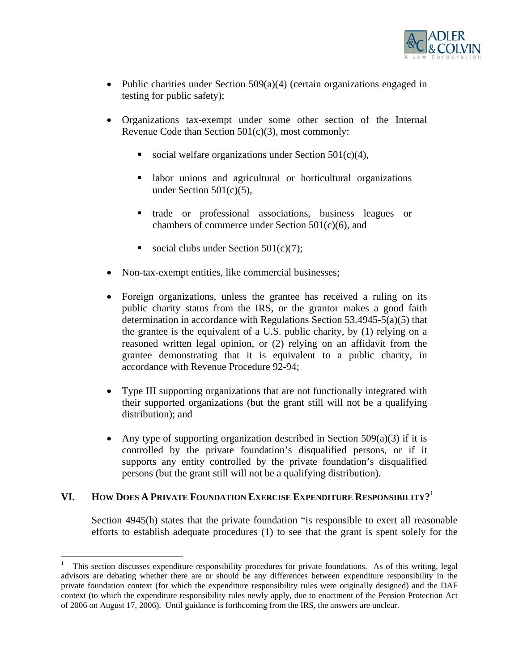

- Public charities under Section  $509(a)(4)$  (certain organizations engaged in testing for public safety);
- Organizations tax-exempt under some other section of the Internal Revenue Code than Section 501(c)(3), most commonly:
	- social welfare organizations under Section  $501(c)(4)$ ,
	- labor unions and agricultural or horticultural organizations under Section 501(c)(5),
	- trade or professional associations, business leagues or chambers of commerce under Section  $501(c)(6)$ , and
	- social clubs under Section  $501(c)(7)$ ;
- Non-tax-exempt entities, like commercial businesses;
- Foreign organizations, unless the grantee has received a ruling on its public charity status from the IRS, or the grantor makes a good faith determination in accordance with Regulations Section 53.4945-5(a)(5) that the grantee is the equivalent of a U.S. public charity, by (1) relying on a reasoned written legal opinion, or (2) relying on an affidavit from the grantee demonstrating that it is equivalent to a public charity, in accordance with Revenue Procedure 92-94;
- Type III supporting organizations that are not functionally integrated with their supported organizations (but the grant still will not be a qualifying distribution); and
- Any type of supporting organization described in Section  $509(a)(3)$  if it is controlled by the private foundation's disqualified persons, or if it supports any entity controlled by the private foundation's disqualified persons (but the grant still will not be a qualifying distribution).

#### **VI. HOW DOES A PRIVATE FOUNDATION EXERCISE EXPENDITURE RESPONSIBILITY?**<sup>1</sup>

 $\overline{a}$ 

Section 4945(h) states that the private foundation "is responsible to exert all reasonable efforts to establish adequate procedures (1) to see that the grant is spent solely for the

<sup>1</sup> This section discusses expenditure responsibility procedures for private foundations. As of this writing, legal advisors are debating whether there are or should be any differences between expenditure responsibility in the private foundation context (for which the expenditure responsibility rules were originally designed) and the DAF context (to which the expenditure responsibility rules newly apply, due to enactment of the Pension Protection Act of 2006 on August 17, 2006). Until guidance is forthcoming from the IRS, the answers are unclear.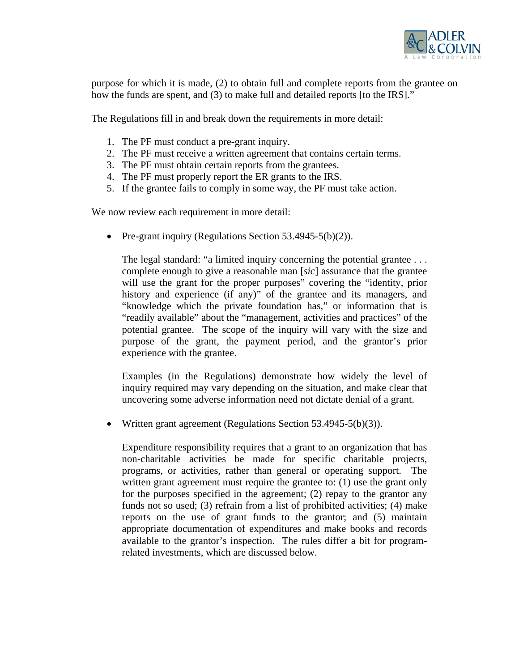

purpose for which it is made, (2) to obtain full and complete reports from the grantee on how the funds are spent, and (3) to make full and detailed reports [to the IRS]."

The Regulations fill in and break down the requirements in more detail:

- 1. The PF must conduct a pre-grant inquiry.
- 2. The PF must receive a written agreement that contains certain terms.
- 3. The PF must obtain certain reports from the grantees.
- 4. The PF must properly report the ER grants to the IRS.
- 5. If the grantee fails to comply in some way, the PF must take action.

We now review each requirement in more detail:

• Pre-grant inquiry (Regulations Section 53.4945-5(b)(2)).

The legal standard: "a limited inquiry concerning the potential grantee . . . complete enough to give a reasonable man [*sic*] assurance that the grantee will use the grant for the proper purposes" covering the "identity, prior history and experience (if any)" of the grantee and its managers, and "knowledge which the private foundation has," or information that is "readily available" about the "management, activities and practices" of the potential grantee. The scope of the inquiry will vary with the size and purpose of the grant, the payment period, and the grantor's prior experience with the grantee.

Examples (in the Regulations) demonstrate how widely the level of inquiry required may vary depending on the situation, and make clear that uncovering some adverse information need not dictate denial of a grant.

• Written grant agreement (Regulations Section 53.4945-5(b)(3)).

Expenditure responsibility requires that a grant to an organization that has non-charitable activities be made for specific charitable projects, programs, or activities, rather than general or operating support. The written grant agreement must require the grantee to: (1) use the grant only for the purposes specified in the agreement; (2) repay to the grantor any funds not so used; (3) refrain from a list of prohibited activities; (4) make reports on the use of grant funds to the grantor; and (5) maintain appropriate documentation of expenditures and make books and records available to the grantor's inspection. The rules differ a bit for programrelated investments, which are discussed below.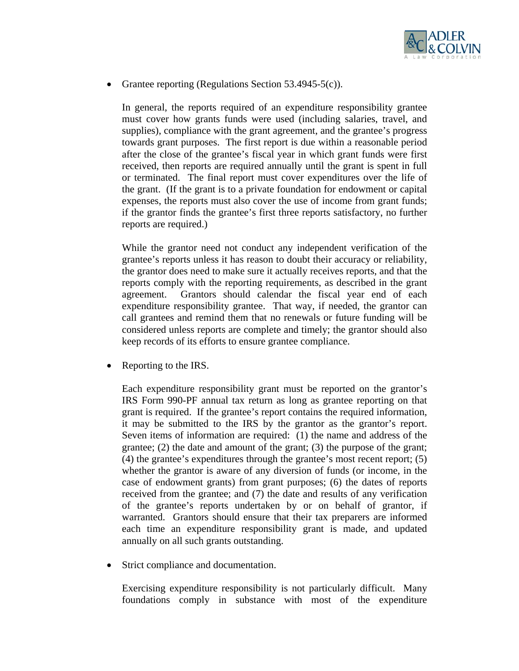

• Grantee reporting (Regulations Section 53.4945-5(c)).

In general, the reports required of an expenditure responsibility grantee must cover how grants funds were used (including salaries, travel, and supplies), compliance with the grant agreement, and the grantee's progress towards grant purposes. The first report is due within a reasonable period after the close of the grantee's fiscal year in which grant funds were first received, then reports are required annually until the grant is spent in full or terminated. The final report must cover expenditures over the life of the grant. (If the grant is to a private foundation for endowment or capital expenses, the reports must also cover the use of income from grant funds; if the grantor finds the grantee's first three reports satisfactory, no further reports are required.)

While the grantor need not conduct any independent verification of the grantee's reports unless it has reason to doubt their accuracy or reliability, the grantor does need to make sure it actually receives reports, and that the reports comply with the reporting requirements, as described in the grant agreement. Grantors should calendar the fiscal year end of each expenditure responsibility grantee. That way, if needed, the grantor can call grantees and remind them that no renewals or future funding will be considered unless reports are complete and timely; the grantor should also keep records of its efforts to ensure grantee compliance.

• Reporting to the IRS.

Each expenditure responsibility grant must be reported on the grantor's IRS Form 990-PF annual tax return as long as grantee reporting on that grant is required. If the grantee's report contains the required information, it may be submitted to the IRS by the grantor as the grantor's report. Seven items of information are required: (1) the name and address of the grantee; (2) the date and amount of the grant; (3) the purpose of the grant; (4) the grantee's expenditures through the grantee's most recent report; (5) whether the grantor is aware of any diversion of funds (or income, in the case of endowment grants) from grant purposes; (6) the dates of reports received from the grantee; and (7) the date and results of any verification of the grantee's reports undertaken by or on behalf of grantor, if warranted. Grantors should ensure that their tax preparers are informed each time an expenditure responsibility grant is made, and updated annually on all such grants outstanding.

• Strict compliance and documentation.

Exercising expenditure responsibility is not particularly difficult. Many foundations comply in substance with most of the expenditure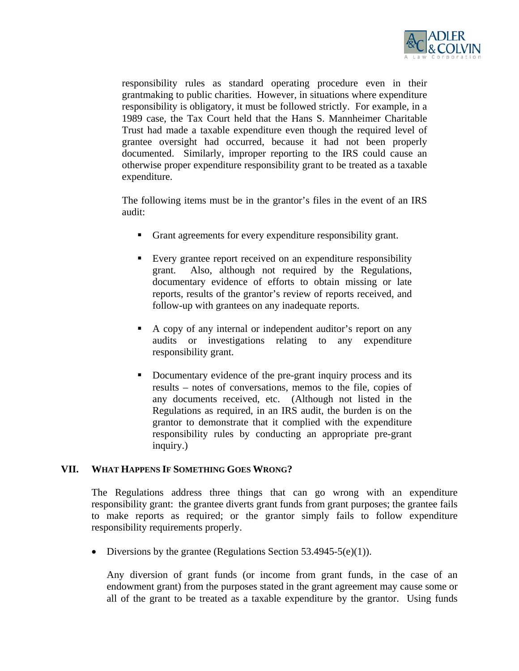

responsibility rules as standard operating procedure even in their grantmaking to public charities. However, in situations where expenditure responsibility is obligatory, it must be followed strictly. For example, in a 1989 case, the Tax Court held that the Hans S. Mannheimer Charitable Trust had made a taxable expenditure even though the required level of grantee oversight had occurred, because it had not been properly documented. Similarly, improper reporting to the IRS could cause an otherwise proper expenditure responsibility grant to be treated as a taxable expenditure.

The following items must be in the grantor's files in the event of an IRS audit:

- Grant agreements for every expenditure responsibility grant.
- Every grantee report received on an expenditure responsibility grant. Also, although not required by the Regulations, documentary evidence of efforts to obtain missing or late reports, results of the grantor's review of reports received, and follow-up with grantees on any inadequate reports.
- A copy of any internal or independent auditor's report on any audits or investigations relating to any expenditure responsibility grant.
- Documentary evidence of the pre-grant inquiry process and its results – notes of conversations, memos to the file, copies of any documents received, etc. (Although not listed in the Regulations as required, in an IRS audit, the burden is on the grantor to demonstrate that it complied with the expenditure responsibility rules by conducting an appropriate pre-grant inquiry.)

#### **VII. WHAT HAPPENS IF SOMETHING GOES WRONG?**

The Regulations address three things that can go wrong with an expenditure responsibility grant: the grantee diverts grant funds from grant purposes; the grantee fails to make reports as required; or the grantor simply fails to follow expenditure responsibility requirements properly.

• Diversions by the grantee (Regulations Section  $53.4945-5(e)(1)$ ).

Any diversion of grant funds (or income from grant funds, in the case of an endowment grant) from the purposes stated in the grant agreement may cause some or all of the grant to be treated as a taxable expenditure by the grantor. Using funds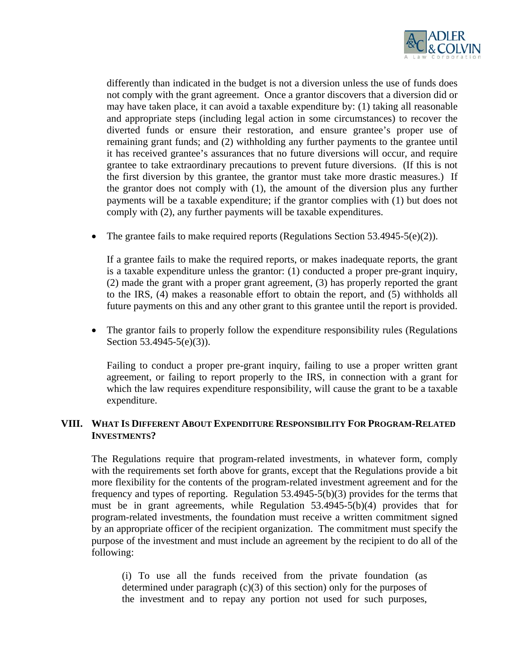

differently than indicated in the budget is not a diversion unless the use of funds does not comply with the grant agreement. Once a grantor discovers that a diversion did or may have taken place, it can avoid a taxable expenditure by: (1) taking all reasonable and appropriate steps (including legal action in some circumstances) to recover the diverted funds or ensure their restoration, and ensure grantee's proper use of remaining grant funds; and (2) withholding any further payments to the grantee until it has received grantee's assurances that no future diversions will occur, and require grantee to take extraordinary precautions to prevent future diversions. (If this is not the first diversion by this grantee, the grantor must take more drastic measures.) If the grantor does not comply with (1), the amount of the diversion plus any further payments will be a taxable expenditure; if the grantor complies with (1) but does not comply with (2), any further payments will be taxable expenditures.

• The grantee fails to make required reports (Regulations Section 53.4945-5(e)(2)).

If a grantee fails to make the required reports, or makes inadequate reports, the grant is a taxable expenditure unless the grantor: (1) conducted a proper pre-grant inquiry, (2) made the grant with a proper grant agreement, (3) has properly reported the grant to the IRS, (4) makes a reasonable effort to obtain the report, and (5) withholds all future payments on this and any other grant to this grantee until the report is provided.

• The grantor fails to properly follow the expenditure responsibility rules (Regulations Section 53.4945-5(e)(3)).

Failing to conduct a proper pre-grant inquiry, failing to use a proper written grant agreement, or failing to report properly to the IRS, in connection with a grant for which the law requires expenditure responsibility, will cause the grant to be a taxable expenditure.

### **VIII. WHAT IS DIFFERENT ABOUT EXPENDITURE RESPONSIBILITY FOR PROGRAM-RELATED INVESTMENTS?**

The Regulations require that program-related investments, in whatever form, comply with the requirements set forth above for grants, except that the Regulations provide a bit more flexibility for the contents of the program-related investment agreement and for the frequency and types of reporting. Regulation 53.4945-5(b)(3) provides for the terms that must be in grant agreements, while Regulation 53.4945-5(b)(4) provides that for program-related investments, the foundation must receive a written commitment signed by an appropriate officer of the recipient organization. The commitment must specify the purpose of the investment and must include an agreement by the recipient to do all of the following:

(i) To use all the funds received from the private foundation (as determined under paragraph  $(c)(3)$  of this section) only for the purposes of the investment and to repay any portion not used for such purposes,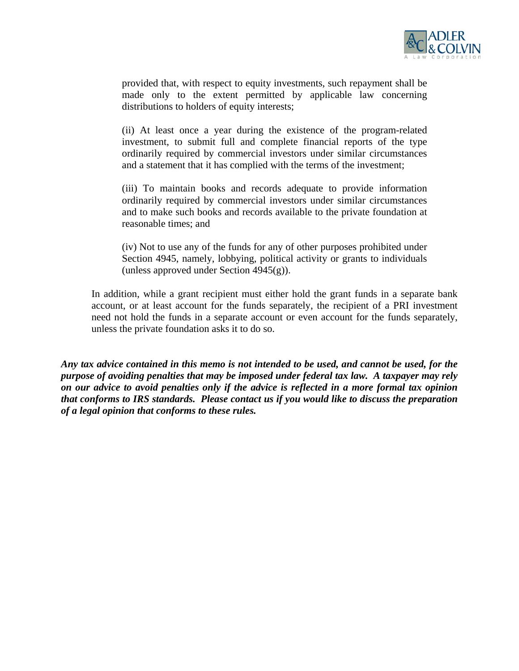

provided that, with respect to equity investments, such repayment shall be made only to the extent permitted by applicable law concerning distributions to holders of equity interests;

(ii) At least once a year during the existence of the program-related investment, to submit full and complete financial reports of the type ordinarily required by commercial investors under similar circumstances and a statement that it has complied with the terms of the investment;

(iii) To maintain books and records adequate to provide information ordinarily required by commercial investors under similar circumstances and to make such books and records available to the private foundation at reasonable times; and

(iv) Not to use any of the funds for any of other purposes prohibited under Section 4945, namely, lobbying, political activity or grants to individuals (unless approved under Section  $4945(g)$ ).

In addition, while a grant recipient must either hold the grant funds in a separate bank account, or at least account for the funds separately, the recipient of a PRI investment need not hold the funds in a separate account or even account for the funds separately, unless the private foundation asks it to do so.

*Any tax advice contained in this memo is not intended to be used, and cannot be used, for the purpose of avoiding penalties that may be imposed under federal tax law. A taxpayer may rely on our advice to avoid penalties only if the advice is reflected in a more formal tax opinion that conforms to IRS standards. Please contact us if you would like to discuss the preparation of a legal opinion that conforms to these rules.*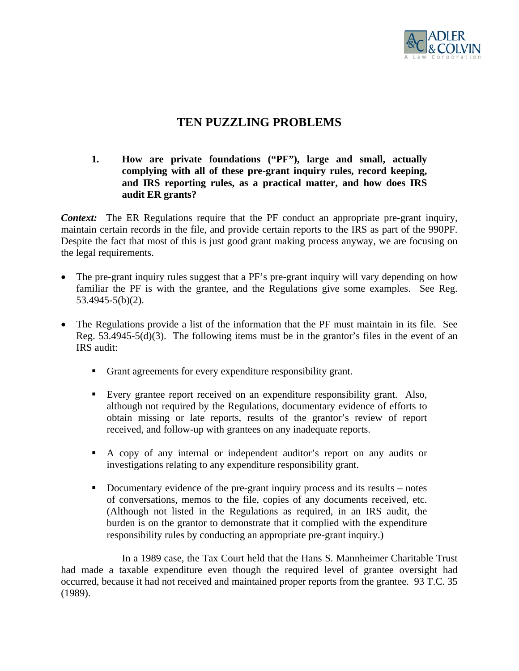

# **TEN PUZZLING PROBLEMS**

# **1. How are private foundations ("PF"), large and small, actually complying with all of these pre-grant inquiry rules, record keeping, and IRS reporting rules, as a practical matter, and how does IRS audit ER grants?**

*Context:* The ER Regulations require that the PF conduct an appropriate pre-grant inquiry, maintain certain records in the file, and provide certain reports to the IRS as part of the 990PF. Despite the fact that most of this is just good grant making process anyway, we are focusing on the legal requirements.

- The pre-grant inquiry rules suggest that a PF's pre-grant inquiry will vary depending on how familiar the PF is with the grantee, and the Regulations give some examples. See Reg. 53.4945-5(b)(2).
- The Regulations provide a list of the information that the PF must maintain in its file. See Reg. 53.4945-5(d)(3). The following items must be in the grantor's files in the event of an IRS audit:
	- Grant agreements for every expenditure responsibility grant.
	- Every grantee report received on an expenditure responsibility grant. Also, although not required by the Regulations, documentary evidence of efforts to obtain missing or late reports, results of the grantor's review of report received, and follow-up with grantees on any inadequate reports.
	- A copy of any internal or independent auditor's report on any audits or investigations relating to any expenditure responsibility grant.
	- Documentary evidence of the pre-grant inquiry process and its results notes of conversations, memos to the file, copies of any documents received, etc. (Although not listed in the Regulations as required, in an IRS audit, the burden is on the grantor to demonstrate that it complied with the expenditure responsibility rules by conducting an appropriate pre-grant inquiry.)

 In a 1989 case, the Tax Court held that the Hans S. Mannheimer Charitable Trust had made a taxable expenditure even though the required level of grantee oversight had occurred, because it had not received and maintained proper reports from the grantee. 93 T.C. 35 (1989).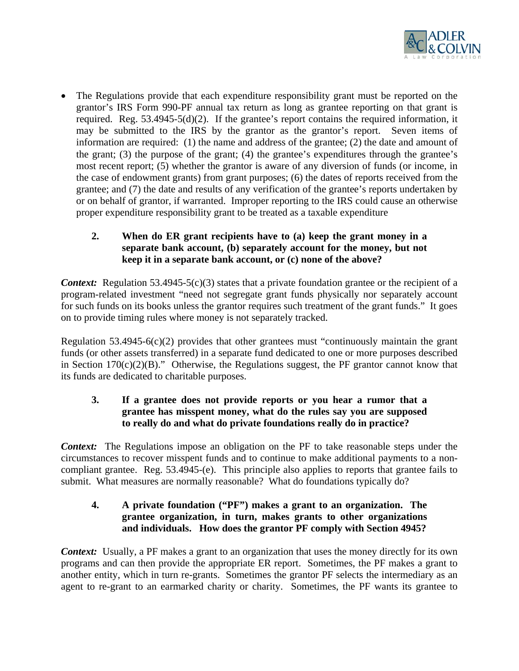

• The Regulations provide that each expenditure responsibility grant must be reported on the grantor's IRS Form 990-PF annual tax return as long as grantee reporting on that grant is required. Reg. 53.4945-5(d)(2). If the grantee's report contains the required information, it may be submitted to the IRS by the grantor as the grantor's report. Seven items of information are required: (1) the name and address of the grantee; (2) the date and amount of the grant; (3) the purpose of the grant; (4) the grantee's expenditures through the grantee's most recent report; (5) whether the grantor is aware of any diversion of funds (or income, in the case of endowment grants) from grant purposes; (6) the dates of reports received from the grantee; and (7) the date and results of any verification of the grantee's reports undertaken by or on behalf of grantor, if warranted. Improper reporting to the IRS could cause an otherwise proper expenditure responsibility grant to be treated as a taxable expenditure

# **2. When do ER grant recipients have to (a) keep the grant money in a separate bank account, (b) separately account for the money, but not keep it in a separate bank account, or (c) none of the above?**

*Context:* Regulation 53.4945-5(c)(3) states that a private foundation grantee or the recipient of a program-related investment "need not segregate grant funds physically nor separately account for such funds on its books unless the grantor requires such treatment of the grant funds." It goes on to provide timing rules where money is not separately tracked.

Regulation  $53.4945-6(c)(2)$  provides that other grantees must "continuously maintain the grant funds (or other assets transferred) in a separate fund dedicated to one or more purposes described in Section  $170(c)(2)(B)$ ." Otherwise, the Regulations suggest, the PF grantor cannot know that its funds are dedicated to charitable purposes.

# **3. If a grantee does not provide reports or you hear a rumor that a grantee has misspent money, what do the rules say you are supposed to really do and what do private foundations really do in practice?**

*Context:* The Regulations impose an obligation on the PF to take reasonable steps under the circumstances to recover misspent funds and to continue to make additional payments to a noncompliant grantee. Reg. 53.4945-(e). This principle also applies to reports that grantee fails to submit. What measures are normally reasonable? What do foundations typically do?

# **4. A private foundation ("PF") makes a grant to an organization. The grantee organization, in turn, makes grants to other organizations and individuals. How does the grantor PF comply with Section 4945?**

*Context:* Usually, a PF makes a grant to an organization that uses the money directly for its own programs and can then provide the appropriate ER report. Sometimes, the PF makes a grant to another entity, which in turn re-grants. Sometimes the grantor PF selects the intermediary as an agent to re-grant to an earmarked charity or charity. Sometimes, the PF wants its grantee to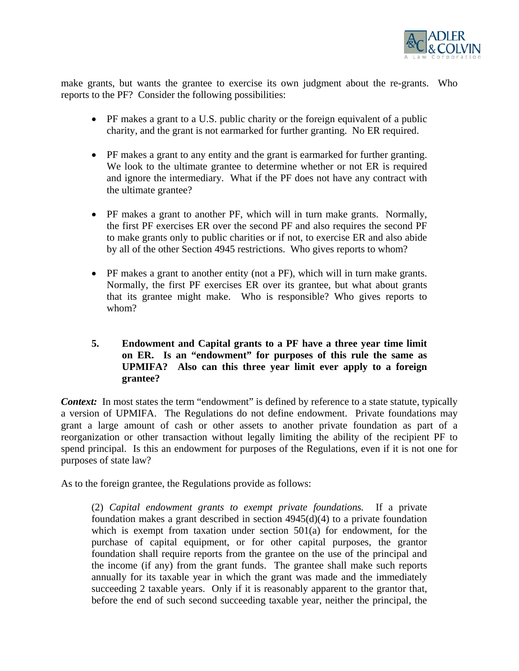

make grants, but wants the grantee to exercise its own judgment about the re-grants. Who reports to the PF? Consider the following possibilities:

- PF makes a grant to a U.S. public charity or the foreign equivalent of a public charity, and the grant is not earmarked for further granting. No ER required.
- PF makes a grant to any entity and the grant is earmarked for further granting. We look to the ultimate grantee to determine whether or not ER is required and ignore the intermediary. What if the PF does not have any contract with the ultimate grantee?
- PF makes a grant to another PF, which will in turn make grants. Normally, the first PF exercises ER over the second PF and also requires the second PF to make grants only to public charities or if not, to exercise ER and also abide by all of the other Section 4945 restrictions. Who gives reports to whom?
- PF makes a grant to another entity (not a PF), which will in turn make grants. Normally, the first PF exercises ER over its grantee, but what about grants that its grantee might make. Who is responsible? Who gives reports to whom?
- **5. Endowment and Capital grants to a PF have a three year time limit on ER. Is an "endowment" for purposes of this rule the same as UPMIFA? Also can this three year limit ever apply to a foreign grantee?**

*Context:* In most states the term "endowment" is defined by reference to a state statute, typically a version of UPMIFA. The Regulations do not define endowment. Private foundations may grant a large amount of cash or other assets to another private foundation as part of a reorganization or other transaction without legally limiting the ability of the recipient PF to spend principal. Is this an endowment for purposes of the Regulations, even if it is not one for purposes of state law?

As to the foreign grantee, the Regulations provide as follows:

(2) *Capital endowment grants to exempt private foundations.* If a private foundation makes a grant described in section 4945(d)(4) to a private foundation which is exempt from taxation under section 501(a) for endowment, for the purchase of capital equipment, or for other capital purposes, the grantor foundation shall require reports from the grantee on the use of the principal and the income (if any) from the grant funds. The grantee shall make such reports annually for its taxable year in which the grant was made and the immediately succeeding 2 taxable years. Only if it is reasonably apparent to the grantor that, before the end of such second succeeding taxable year, neither the principal, the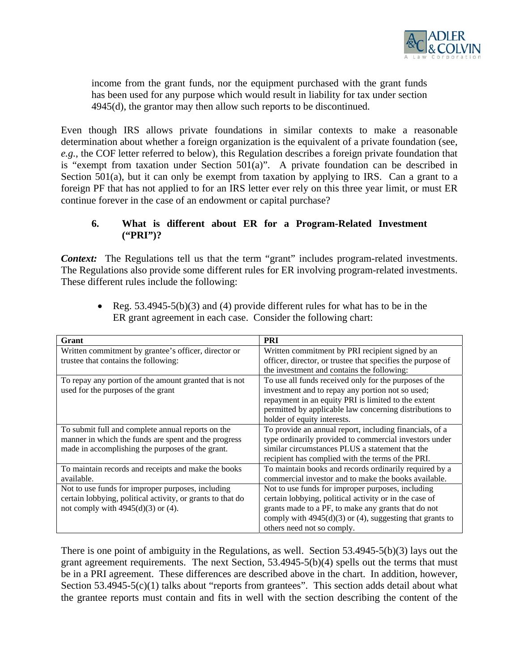

income from the grant funds, nor the equipment purchased with the grant funds has been used for any purpose which would result in liability for tax under section 4945(d), the grantor may then allow such reports to be discontinued.

Even though IRS allows private foundations in similar contexts to make a reasonable determination about whether a foreign organization is the equivalent of a private foundation (see, *e.g.*, the COF letter referred to below), this Regulation describes a foreign private foundation that is "exempt from taxation under Section 501(a)". A private foundation can be described in Section 501(a), but it can only be exempt from taxation by applying to IRS. Can a grant to a foreign PF that has not applied to for an IRS letter ever rely on this three year limit, or must ER continue forever in the case of an endowment or capital purchase?

# **6. What is different about ER for a Program-Related Investment ("PRI")?**

*Context:* The Regulations tell us that the term "grant" includes program-related investments. The Regulations also provide some different rules for ER involving program-related investments. These different rules include the following:

| Grant                                                      | <b>PRI</b>                                                  |
|------------------------------------------------------------|-------------------------------------------------------------|
| Written commitment by grantee's officer, director or       | Written commitment by PRI recipient signed by an            |
| trustee that contains the following:                       | officer, director, or trustee that specifies the purpose of |
|                                                            | the investment and contains the following:                  |
| To repay any portion of the amount granted that is not     | To use all funds received only for the purposes of the      |
| used for the purposes of the grant                         | investment and to repay any portion not so used;            |
|                                                            | repayment in an equity PRI is limited to the extent         |
|                                                            | permitted by applicable law concerning distributions to     |
|                                                            | holder of equity interests.                                 |
| To submit full and complete annual reports on the          | To provide an annual report, including financials, of a     |
| manner in which the funds are spent and the progress       | type ordinarily provided to commercial investors under      |
| made in accomplishing the purposes of the grant.           | similar circumstances PLUS a statement that the             |
|                                                            | recipient has complied with the terms of the PRI.           |
| To maintain records and receipts and make the books        | To maintain books and records ordinarily required by a      |
| available.                                                 | commercial investor and to make the books available.        |
| Not to use funds for improper purposes, including          | Not to use funds for improper purposes, including           |
| certain lobbying, political activity, or grants to that do | certain lobbying, political activity or in the case of      |
| not comply with $4945(d)(3)$ or (4).                       | grants made to a PF, to make any grants that do not         |
|                                                            | comply with $4945(d)(3)$ or (4), suggesting that grants to  |
|                                                            | others need not so comply.                                  |

• Reg.  $53.4945-5(b)(3)$  and (4) provide different rules for what has to be in the ER grant agreement in each case. Consider the following chart:

There is one point of ambiguity in the Regulations, as well. Section 53.4945-5(b)(3) lays out the grant agreement requirements. The next Section, 53.4945-5(b)(4) spells out the terms that must be in a PRI agreement. These differences are described above in the chart. In addition, however, Section  $53.4945-5(c)(1)$  talks about "reports from grantees". This section adds detail about what the grantee reports must contain and fits in well with the section describing the content of the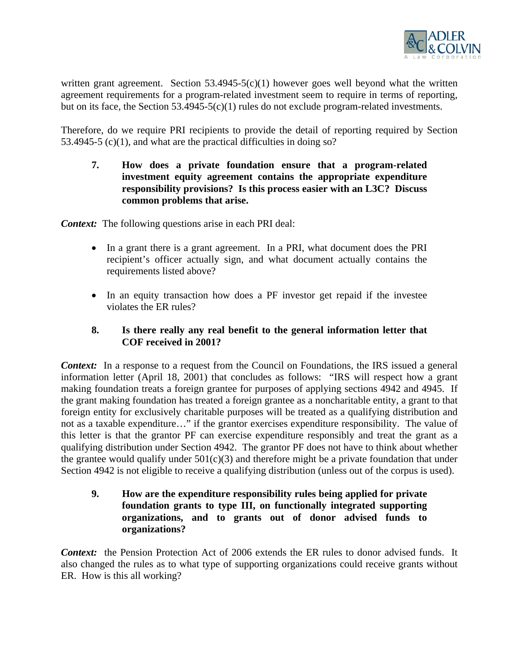

written grant agreement. Section  $53.4945-5(c)(1)$  however goes well beyond what the written agreement requirements for a program-related investment seem to require in terms of reporting, but on its face, the Section 53.4945-5(c)(1) rules do not exclude program-related investments.

Therefore, do we require PRI recipients to provide the detail of reporting required by Section 53.4945-5 (c)(1), and what are the practical difficulties in doing so?

**7. How does a private foundation ensure that a program-related investment equity agreement contains the appropriate expenditure responsibility provisions? Is this process easier with an L3C? Discuss common problems that arise.** 

*Context:* The following questions arise in each PRI deal:

- In a grant there is a grant agreement. In a PRI, what document does the PRI recipient's officer actually sign, and what document actually contains the requirements listed above?
- In an equity transaction how does a PF investor get repaid if the investee violates the ER rules?

# **8. Is there really any real benefit to the general information letter that COF received in 2001?**

*Context:* In a response to a request from the Council on Foundations, the IRS issued a general information letter (April 18, 2001) that concludes as follows: "IRS will respect how a grant making foundation treats a foreign grantee for purposes of applying sections 4942 and 4945. If the grant making foundation has treated a foreign grantee as a noncharitable entity, a grant to that foreign entity for exclusively charitable purposes will be treated as a qualifying distribution and not as a taxable expenditure…" if the grantor exercises expenditure responsibility. The value of this letter is that the grantor PF can exercise expenditure responsibly and treat the grant as a qualifying distribution under Section 4942. The grantor PF does not have to think about whether the grantee would qualify under  $501(c)(3)$  and therefore might be a private foundation that under Section 4942 is not eligible to receive a qualifying distribution (unless out of the corpus is used).

**9. How are the expenditure responsibility rules being applied for private foundation grants to type III, on functionally integrated supporting organizations, and to grants out of donor advised funds to organizations?** 

*Context:* the Pension Protection Act of 2006 extends the ER rules to donor advised funds. It also changed the rules as to what type of supporting organizations could receive grants without ER. How is this all working?